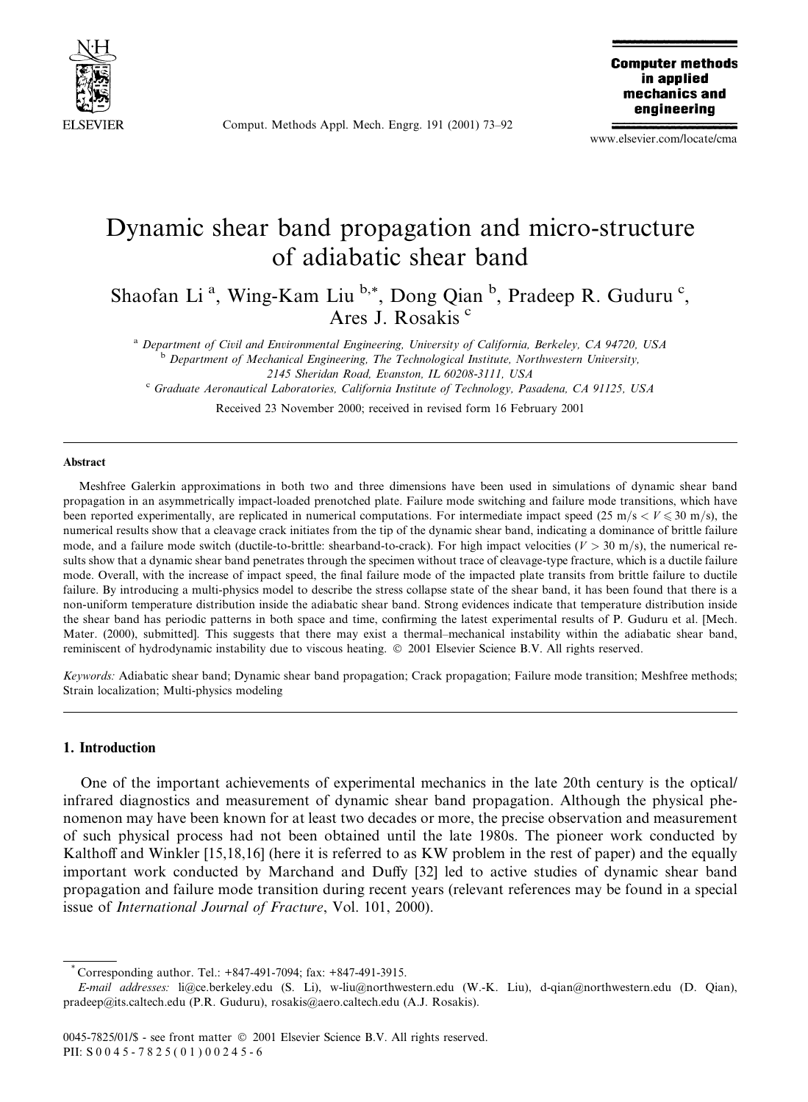

Comput. Methods Appl. Mech. Engrg. 191 (2001) 73-92

**Computer methods** in applied mechanics and engineering

www.elsevier.com/locate/cma

# Dynamic shear band propagation and micro-structure of adiabatic shear band

Shaofan Li<sup>a</sup>, Wing-Kam Liu<sup>b,\*</sup>, Dong Qian<sup>b</sup>, Pradeep R. Guduru<sup>c</sup>, Ares J. Rosakis<sup>c</sup>

<sup>a</sup> Department of Civil and Environmental Engineering, University of California, Berkeley, CA 94720, USA <sup>b</sup> Department of Mechanical Engineering, The Technological Institute, Northwestern University, 2145 Sheridan Road, Evanston, IL 60208-3111, USA

<sup>c</sup> Graduate Aeronautical Laboratories, California Institute of Technology, Pasadena, CA 91125, USA

Received 23 November 2000; received in revised form 16 February 2001

#### Abstract

Meshfree Galerkin approximations in both two and three dimensions have been used in simulations of dynamic shear band propagation in an asymmetrically impact-loaded prenotched plate. Failure mode switching and failure mode transitions, which have been reported experimentally, are replicated in numerical computations. For intermediate impact speed (25 m/s <  $V \le 30$  m/s), the numerical results show that a cleavage crack initiates from the tip of the dynamic shear band, indicating a dominance of brittle failure mode, and a failure mode switch (ductile-to-brittle: shearband-to-crack). For high impact velocities ( $V > 30$  m/s), the numerical results show that a dynamic shear band penetrates through the specimen without trace of cleavage-type fracture, which is a ductile failure mode. Overall, with the increase of impact speed, the final failure mode of the impacted plate transits from brittle failure to ductile failure. By introducing a multi-physics model to describe the stress collapse state of the shear band, it has been found that there is a non-uniform temperature distribution inside the adiabatic shear band. Strong evidences indicate that temperature distribution inside the shear band has periodic patterns in both space and time, confirming the latest experimental results of P. Guduru et al. [Mech. Mater. (2000), submitted]. This suggests that there may exist a thermal-mechanical instability within the adiabatic shear band, reminiscent of hydrodynamic instability due to viscous heating. © 2001 Elsevier Science B.V. All rights reserved.

Keywords: Adiabatic shear band; Dynamic shear band propagation; Crack propagation; Failure mode transition; Meshfree methods; Strain localization; Multi-physics modeling

#### 1. Introduction

One of the important achievements of experimental mechanics in the late 20th century is the optical/ infrared diagnostics and measurement of dynamic shear band propagation. Although the physical phenomenon may have been known for at least two decades or more, the precise observation and measurement of such physical process had not been obtained until the late 1980s. The pioneer work conducted by Kalthoff and Winkler [15,18,16] (here it is referred to as KW problem in the rest of paper) and the equally important work conducted by Marchand and Duffy [32] led to active studies of dynamic shear band propagation and failure mode transition during recent years (relevant references may be found in a special issue of International Journal of Fracture, Vol. 101, 2000).

Corresponding author. Tel.: +847-491-7094; fax: +847-491-3915.

E-mail addresses: li@ce.berkeley.edu (S. Li), w-liu@northwestern.edu (W.-K. Liu), d-qian@northwestern.edu (D. Qian), pradeep@its.caltech.edu (P.R. Guduru), rosakis@aero.caltech.edu (A.J. Rosakis).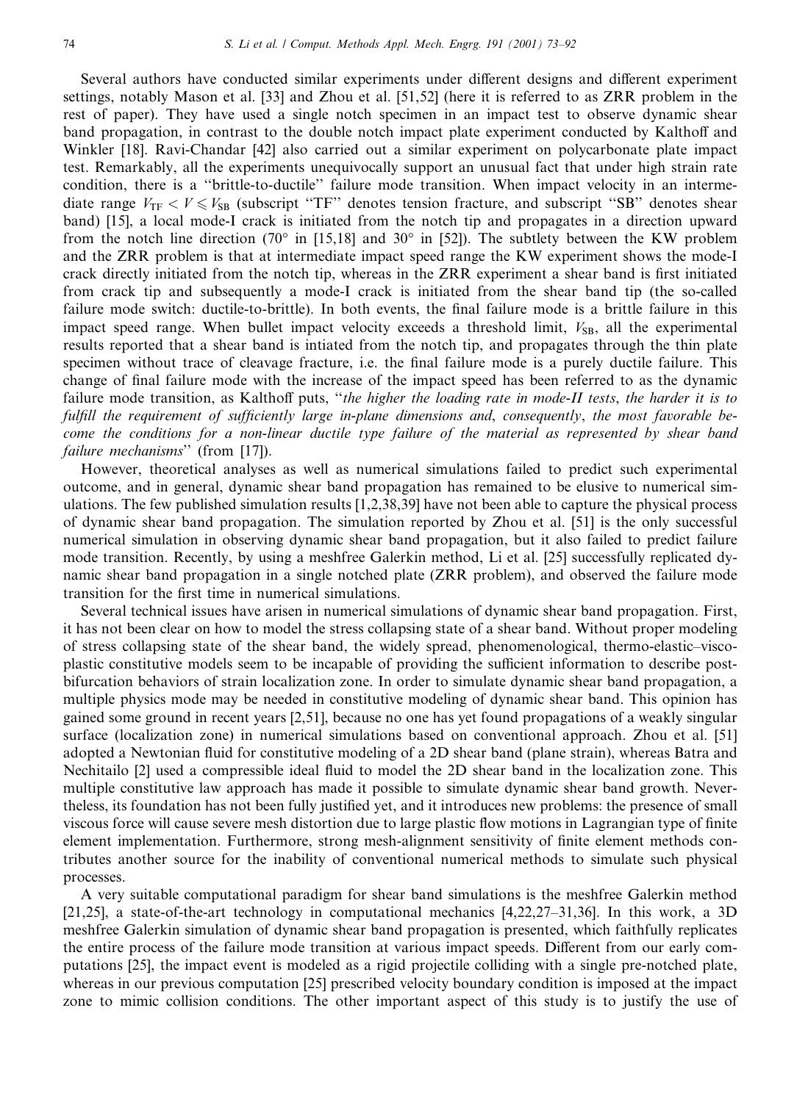Several authors have conducted similar experiments under different designs and different experiment settings, notably Mason et al. [33] and Zhou et al. [51,52] (here it is referred to as ZRR problem in the rest of paper). They have used a single notch specimen in an impact test to observe dynamic shear band propagation, in contrast to the double notch impact plate experiment conducted by Kalthoff and Winkler [18]. Ravi-Chandar [42] also carried out a similar experiment on polycarbonate plate impact test. Remarkably, all the experiments unequivocally support an unusual fact that under high strain rate condition, there is a "brittle-to-ductile" failure mode transition. When impact velocity in an intermediate range  $V_{\text{TF}} < V \le V_{\text{SB}}$  (subscript "TF" denotes tension fracture, and subscript "SB" denotes shear band) [15], a local mode-I crack is initiated from the notch tip and propagates in a direction upward from the notch line direction (70° in [15,18] and 30° in [52]). The subtlety between the KW problem and the ZRR problem is that at intermediate impact speed range the KW experiment shows the mode-I crack directly initiated from the notch tip, whereas in the ZRR experiment a shear band is first initiated from crack tip and subsequently a mode-I crack is initiated from the shear band tip (the so-called failure mode switch: ductile-to-brittle). In both events, the final failure mode is a brittle failure in this impact speed range. When bullet impact velocity exceeds a threshold limit,  $V_{SB}$ , all the experimental results reported that a shear band is intiated from the notch tip, and propagates through the thin plate specimen without trace of cleavage fracture, *i.e.* the final failure mode is a purely ductile failure. This change of final failure mode with the increase of the impact speed has been referred to as the dynamic failure mode transition, as Kalthoff puts, "the higher the loading rate in mode-II tests, the harder it is to fulfill the requirement of sufficiently large in-plane dimensions and, consequently, the most favorable become the conditions for a non-linear ductile type failure of the material as represented by shear band failure mechanisms" (from [17]).

However, theoretical analyses as well as numerical simulations failed to predict such experimental outcome, and in general, dynamic shear band propagation has remained to be elusive to numerical simulations. The few published simulation results  $[1,2,38,39]$  have not been able to capture the physical process of dynamic shear band propagation. The simulation reported by Zhou et al. [51] is the only successful numerical simulation in observing dynamic shear band propagation, but it also failed to predict failure mode transition. Recently, by using a meshfree Galerkin method, Li et al. [25] successfully replicated dynamic shear band propagation in a single notched plate (ZRR problem), and observed the failure mode transition for the first time in numerical simulations.

Several technical issues have arisen in numerical simulations of dynamic shear band propagation. First, it has not been clear on how to model the stress collapsing state of a shear band. Without proper modeling of stress collapsing state of the shear band, the widely spread, phenomenological, thermo-elastic–viscoplastic constitutive models seem to be incapable of providing the sufficient information to describe postbifurcation behaviors of strain localization zone. In order to simulate dynamic shear band propagation, a multiple physics mode may be needed in constitutive modeling of dynamic shear band. This opinion has gained some ground in recent years [2,51], because no one has yet found propagations of a weakly singular surface (localization zone) in numerical simulations based on conventional approach. Zhou et al. [51] adopted a Newtonian fluid for constitutive modeling of a 2D shear band (plane strain), whereas Batra and Nechitailo [2] used a compressible ideal fluid to model the 2D shear band in the localization zone. This multiple constitutive law approach has made it possible to simulate dynamic shear band growth. Neverthe less, its foundation has not been fully justified yet, and it introduces new problems: the presence of small viscous force will cause severe mesh distortion due to large plastic flow motions in Lagrangian type of finite element implementation. Furthermore, strong mesh-alignment sensitivity of finite element methods contributes another source for the inability of conventional numerical methods to simulate such physical processes.

A very suitable computational paradigm for shear band simulations is the meshfree Galerkin method  $[21,25]$ , a state-of-the-art technology in computational mechanics  $[4,22,27-31,36]$ . In this work, a 3D meshfree Galerkin simulation of dynamic shear band propagation is presented, which faithfully replicates the entire process of the failure mode transition at various impact speeds. Different from our early computations [25], the impact event is modeled as a rigid projectile colliding with a single pre-notched plate, whereas in our previous computation [25] prescribed velocity boundary condition is imposed at the impact zone to mimic collision conditions. The other important aspect of this study is to justify the use of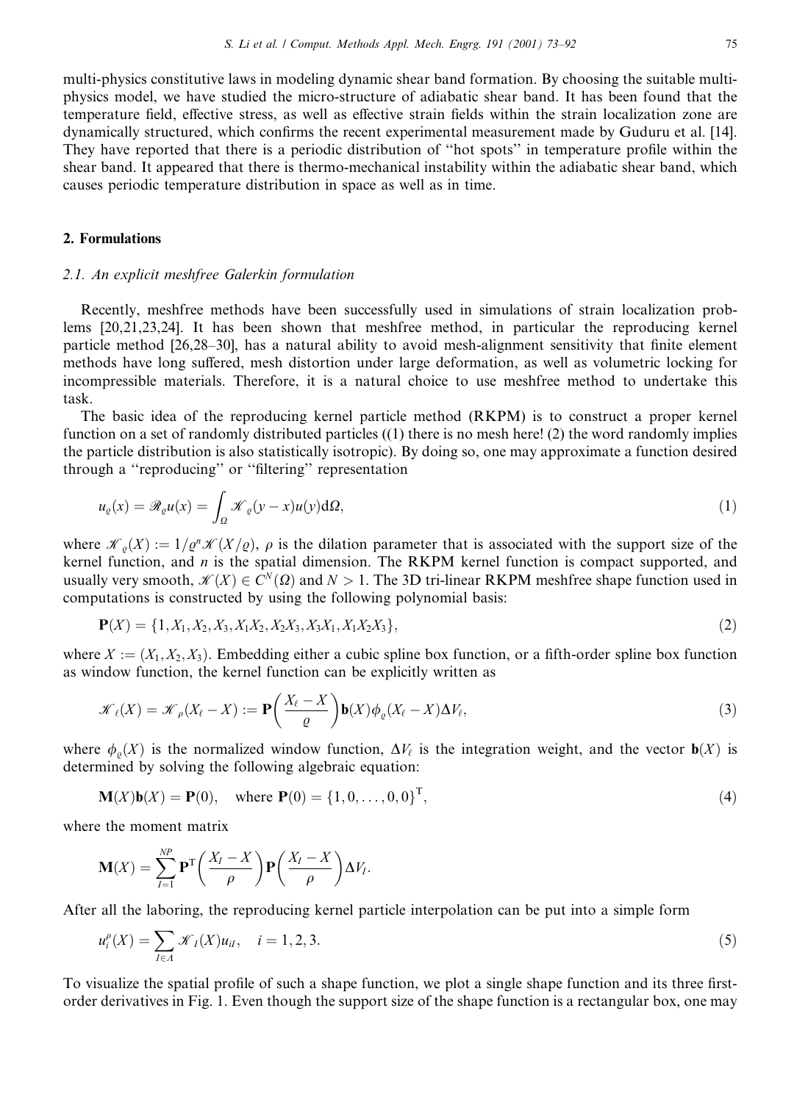multi-physics constitutive laws in modeling dynamic shear band formation. By choosing the suitable multiphysics model, we have studied the micro-structure of adiabatic shear band. It has been found that the temperature field, effective stress, as well as effective strain fields within the strain localization zone are dynamically structured, which confirms the recent experimental measurement made by Guduru et al. [14]. They have reported that there is a periodic distribution of "hot spots" in temperature profile within the shear band. It appeared that there is thermo-mechanical instability within the adiabatic shear band, which causes periodic temperature distribution in space as well as in time.

## 2. Formulations

## 2.1. An explicit meshfree Galerkin formulation

Recently, meshfree methods have been successfully used in simulations of strain localization problems  $[20,21,23,24]$ . It has been shown that meshfree method, in particular the reproducing kernel particle method [26,28–30], has a natural ability to avoid mesh-alignment sensitivity that finite element methods have long suffered, mesh distortion under large deformation, as well as volumetric locking for incompressible materials. Therefore, it is a natural choice to use meshfree method to undertake this task.

The basic idea of the reproducing kernel particle method (RKPM) is to construct a proper kernel function on a set of randomly distributed particles  $((1)$  there is no mesh here! (2) the word randomly implies the particle distribution is also statistically isotropic). By doing so, one may approximate a function desired through a "reproducing" or "filtering" representation

$$
u_{\varrho}(x) = \mathcal{R}_{\varrho}u(x) = \int_{\Omega} \mathcal{K}_{\varrho}(y-x)u(y) \,d\Omega,\tag{1}
$$

where  $\mathcal{K}_{\rho}(X) := 1/\rho^n \mathcal{K}(X/\rho)$ ,  $\rho$  is the dilation parameter that is associated with the support size of the kernel function, and  $n$  is the spatial dimension. The RKPM kernel function is compact supported, and usually very smooth,  $\mathcal{K}(X) \in C^{N}(\Omega)$  and  $N > 1$ . The 3D tri-linear RKPM meshfree shape function used in computations is constructed by using the following polynomial basis:

$$
\mathbf{P}(X) = \{1, X_1, X_2, X_3, X_1X_2, X_2X_3, X_3X_1, X_1X_2X_3\},\tag{2}
$$

where  $X := (X_1, X_2, X_3)$ . Embedding either a cubic spline box function, or a fifth-order spline box function as window function, the kernel function can be explicitly written as

$$
\mathcal{K}_{\ell}(X) = \mathcal{K}_{\rho}(X_{\ell} - X) := \mathbf{P}\left(\frac{X_{\ell} - X}{\varrho}\right) \mathbf{b}(X)\phi_{\varrho}(X_{\ell} - X)\Delta V_{\ell},\tag{3}
$$

where  $\phi_o(X)$  is the normalized window function,  $\Delta V_\ell$  is the integration weight, and the vector  $\mathbf{b}(X)$  is determined by solving the following algebraic equation:

$$
\mathbf{M}(X)\mathbf{b}(X) = \mathbf{P}(0), \quad \text{where } \mathbf{P}(0) = \{1, 0, \dots, 0, 0\}^{\mathrm{T}}, \tag{4}
$$

where the moment matrix

$$
\mathbf{M}(X) = \sum_{I=1}^{NP} \mathbf{P}^{T} \left( \frac{X_{I} - X}{\rho} \right) \mathbf{P} \left( \frac{X_{I} - X}{\rho} \right) \Delta V_{I}.
$$

After all the laboring, the reproducing kernel particle interpolation can be put into a simple form

$$
u_i^{\rho}(X) = \sum_{I \in \Lambda} \mathcal{K}_I(X)u_{iI}, \quad i = 1, 2, 3. \tag{5}
$$

To visualize the spatial profile of such a shape function, we plot a single shape function and its three firstorder derivatives in Fig. 1. Even though the support size of the shape function is a rectangular box, one may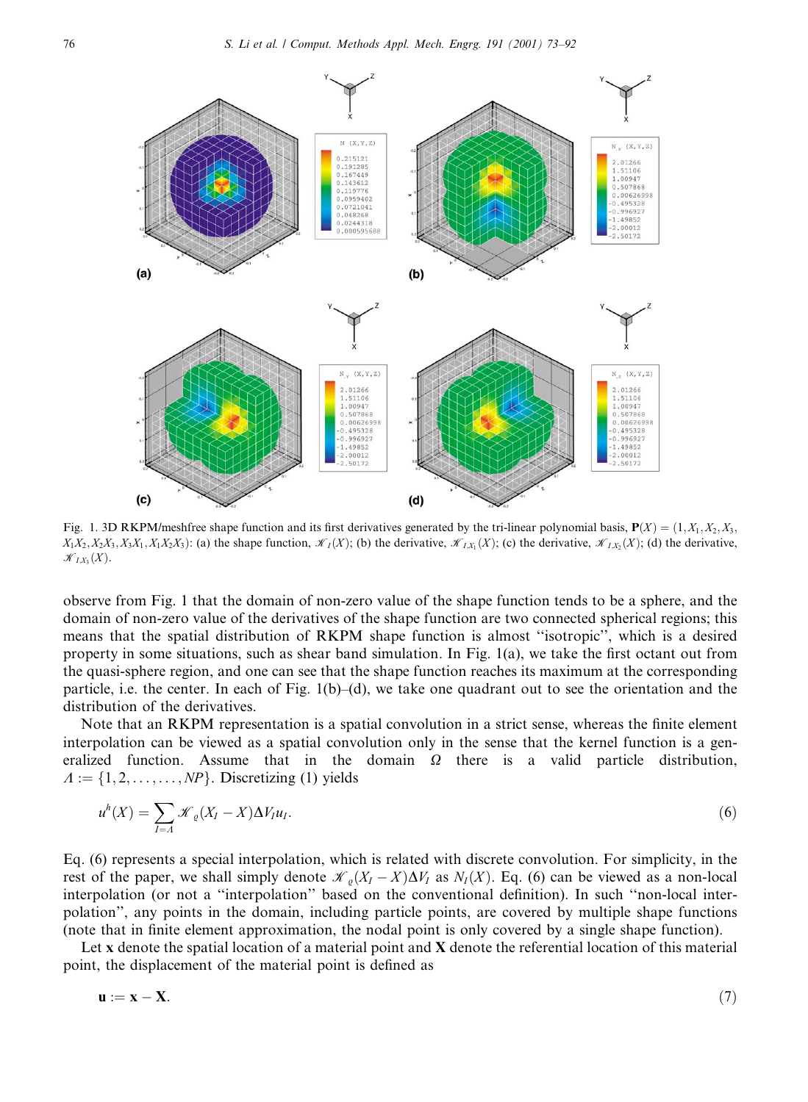

Fig. 1. 3D RKPM/meshfree shape function and its first derivatives generated by the tri-linear polynomial basis,  $P(X) = (1, X_1, X_2, X_3, X_4, X_5, X_6, X_7, X_8, X_9, X_1, X_1, X_2, X_4, X_1, X_2, X_4, X_1, X_2, X_3, X_4, X_1, X_2, X_4, X_1, X_2, X$  $X_1X_2, X_2X_3, X_3X_1, X_1X_2X_3$ : (a) the shape function,  $\mathcal{K}_I(X)$ ; (b) the derivative,  $\mathcal{K}_{I,X_1}(X)$ ; (c) the derivative,  $\mathcal{K}_{I,X_1}(X)$ ; (d) the derivative,  $\mathscr{K}_{IX_3}(X)$ .

observe from Fig. 1 that the domain of non-zero value of the shape function tends to be a sphere, and the domain of non-zero value of the derivatives of the shape function are two connected spherical regions; this means that the spatial distribution of RKPM shape function is almost "isotropic", which is a desired property in some situations, such as shear band simulation. In Fig.  $1(a)$ , we take the first octant out from the quasi-sphere region, and one can see that the shape function reaches its maximum at the corresponding particle, i.e. the center. In each of Fig.  $1(b)$ –(d), we take one quadrant out to see the orientation and the distribution of the derivatives.

Note that an RKPM representation is a spatial convolution in a strict sense, whereas the finite element interpolation can be viewed as a spatial convolution only in the sense that the kernel function is a generalized function. Assume that in the domain  $\Omega$  there is a valid particle distribution,  $\Lambda := \{1, 2, \ldots, \ldots, NP\}$ . Discretizing (1) yields

$$
u^{h}(X) = \sum_{I=A} \mathcal{K}_{\varrho}(X_{I}-X)\Delta V_{I}u_{I}.
$$
\n
$$
(6)
$$

Eq. (6) represents a special interpolation, which is related with discrete convolution. For simplicity, in the rest of the paper, we shall simply denote  $\mathcal{K}_{\rho}(X_I - X) \Delta V_I$  as  $N_I(X)$ . Eq. (6) can be viewed as a non-local interpolation (or not a "interpolation" based on the conventional definition). In such "non-local interpolation", any points in the domain, including particle points, are covered by multiple shape functions (note that in finite element approximation, the nodal point is only covered by a single shape function).

Let x denote the spatial location of a material point and X denote the referential location of this material point, the displacement of the material point is defined as

$$
\mathbf{u} := \mathbf{x} - \mathbf{X}.\tag{7}
$$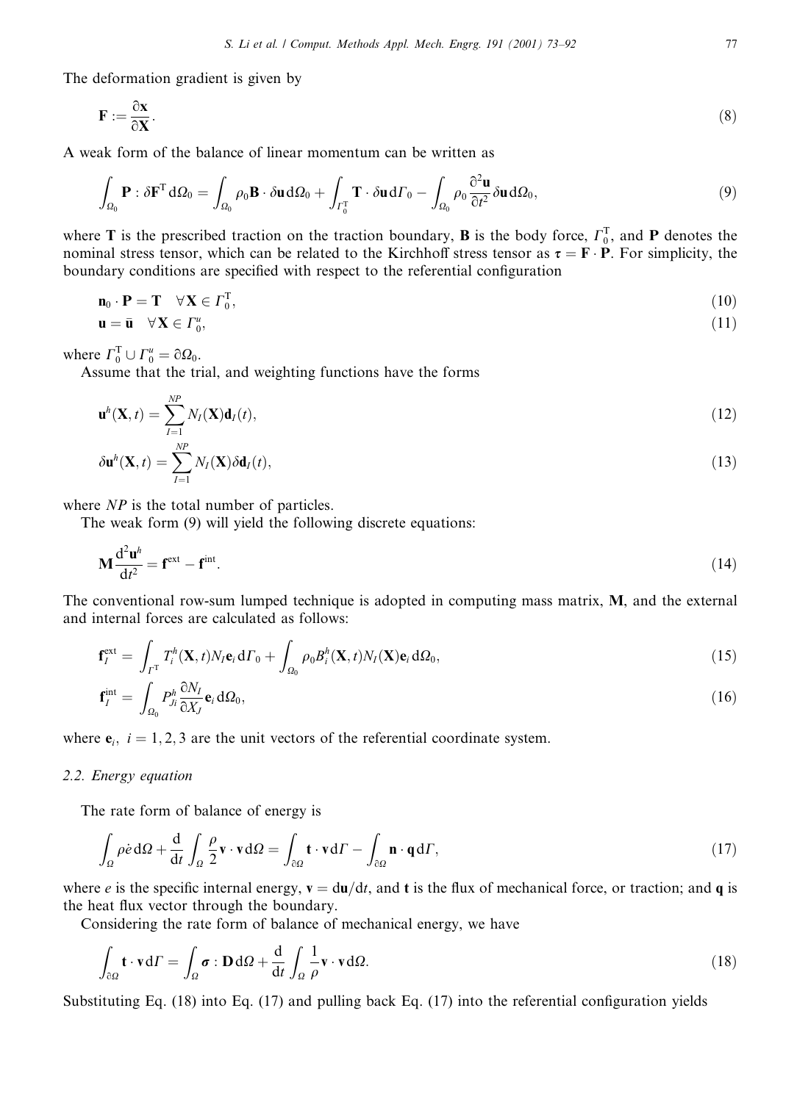The deformation gradient is given by

$$
\mathbf{F} := \frac{\partial \mathbf{x}}{\partial \mathbf{X}}.\tag{8}
$$

A weak form of the balance of linear momentum can be written as

$$
\int_{\Omega_0} \mathbf{P} : \delta \mathbf{F}^{\mathrm{T}} \, \mathrm{d}\Omega_0 = \int_{\Omega_0} \rho_0 \mathbf{B} \cdot \delta \mathbf{u} \, \mathrm{d}\Omega_0 + \int_{\Gamma_0^{\mathrm{T}}} \mathbf{T} \cdot \delta \mathbf{u} \, \mathrm{d}\Gamma_0 - \int_{\Omega_0} \rho_0 \frac{\partial^2 \mathbf{u}}{\partial t^2} \delta \mathbf{u} \, \mathrm{d}\Omega_0,\tag{9}
$$

where T is the prescribed traction on the traction boundary, **B** is the body force,  $\Gamma_0^T$ , and **P** denotes the nominal stress tensor, which can be related to the Kirchhoff stress tensor as  $\tau = \mathbf{F} \cdot \mathbf{P}$ . For simplicity, the boundary conditions are specified with respect to the referential configuration

$$
\mathbf{n}_0 \cdot \mathbf{P} = \mathbf{T} \quad \forall \mathbf{X} \in \Gamma_0^{\mathrm{T}},\tag{10}
$$

$$
\mathbf{u} = \bar{\mathbf{u}} \quad \forall \mathbf{X} \in \Gamma_0^u,\tag{11}
$$

where  $\Gamma_0^T \cup \Gamma_0^u = \partial \Omega_0$ .

Assume that the trial, and weighting functions have the forms

$$
\mathbf{u}^{h}(\mathbf{X},t) = \sum_{I=1}^{NP} N_{I}(\mathbf{X}) \mathbf{d}_{I}(t),
$$
\n(12)

$$
\delta \mathbf{u}^{h}(\mathbf{X},t) = \sum_{I=1}^{NP} N_{I}(\mathbf{X}) \delta \mathbf{d}_{I}(t),
$$
\n(13)

where  $NP$  is the total number of particles.

The weak form (9) will yield the following discrete equations:

$$
\mathbf{M}\frac{\mathrm{d}^2\mathbf{u}^h}{\mathrm{d}t^2} = \mathbf{f}^{\text{ext}} - \mathbf{f}^{\text{int}}.\tag{14}
$$

The conventional row-sum lumped technique is adopted in computing mass matrix, M, and the external and internal forces are calculated as follows:

$$
\mathbf{f}_I^{\text{ext}} = \int_{\Gamma^{\text{T}}} T_i^h(\mathbf{X}, t) N_I \mathbf{e}_i \, d\Gamma_0 + \int_{\Omega_0} \rho_0 B_i^h(\mathbf{X}, t) N_I(\mathbf{X}) \mathbf{e}_i \, d\Omega_0, \tag{15}
$$

$$
\mathbf{f}_I^{\text{int}} = \int_{\Omega_0} P_{j_i}^h \frac{\partial N_I}{\partial X_j} \mathbf{e}_i \, d\Omega_0,\tag{16}
$$

where  $e_i$ ,  $i = 1, 2, 3$  are the unit vectors of the referential coordinate system.

# 2.2. Energy equation

The rate form of balance of energy is

$$
\int_{\Omega} \rho \dot{e} \, d\Omega + \frac{d}{dt} \int_{\Omega} \frac{\rho}{2} \mathbf{v} \cdot \mathbf{v} \, d\Omega = \int_{\partial \Omega} \mathbf{t} \cdot \mathbf{v} \, d\Gamma - \int_{\partial \Omega} \mathbf{n} \cdot \mathbf{q} \, d\Gamma,\tag{17}
$$

where e is the specific internal energy,  $\mathbf{v} = d\mathbf{u}/dt$ , and t is the flux of mechanical force, or traction; and q is the heat flux vector through the boundary.

Considering the rate form of balance of mechanical energy, we have

$$
\int_{\partial\Omega} \mathbf{t} \cdot \mathbf{v} d\Gamma = \int_{\Omega} \boldsymbol{\sigma} : \mathbf{D} d\Omega + \frac{d}{dt} \int_{\Omega} \frac{1}{\rho} \mathbf{v} \cdot \mathbf{v} d\Omega.
$$
\n(18)

Substituting Eq.  $(18)$  into Eq.  $(17)$  and pulling back Eq.  $(17)$  into the referential configuration yields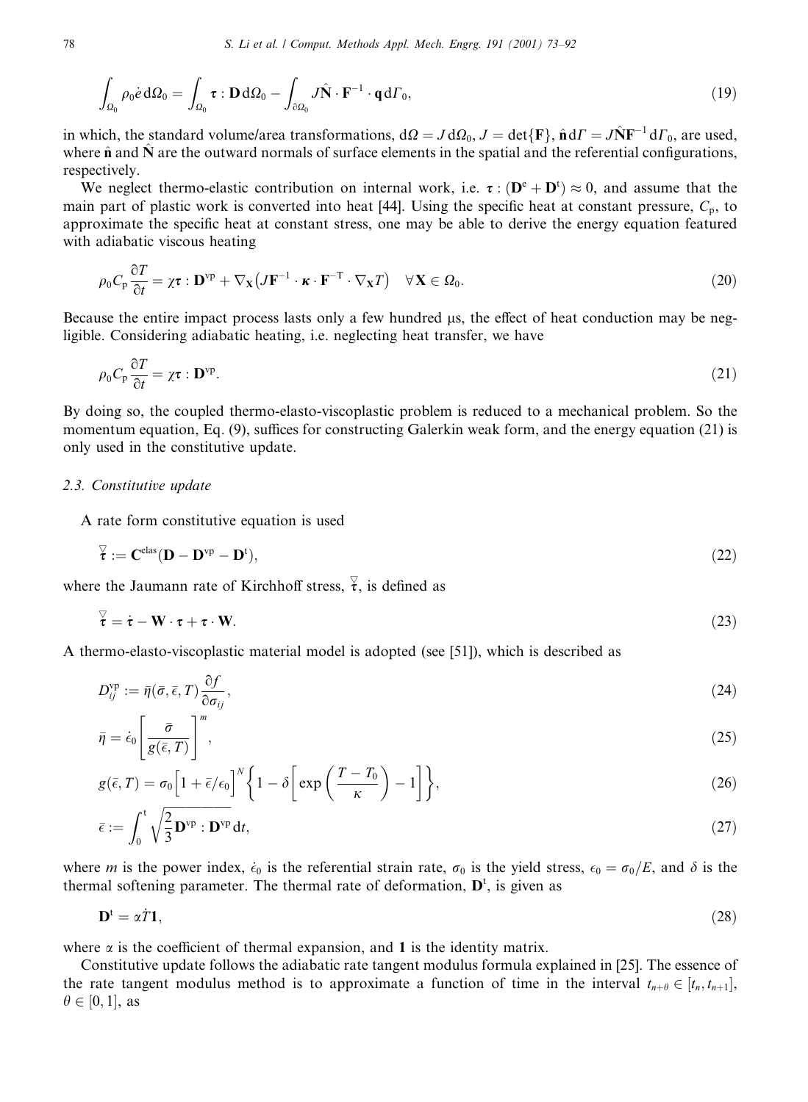$$
\int_{\Omega_0} \rho_0 \dot{e} \, d\Omega_0 = \int_{\Omega_0} \boldsymbol{\tau} : \mathbf{D} \, d\Omega_0 - \int_{\partial \Omega_0} J \hat{\mathbf{N}} \cdot \mathbf{F}^{-1} \cdot \mathbf{q} \, d\Gamma_0,\tag{19}
$$

in which, the standard volume/area transformations,  $d\Omega = J d\Omega_0$ ,  $J = det\{F\}$ ,  $\hat{\mathbf{n}} dT = J\hat{\mathbf{N}}F^{-1} dT_0$ , are used, where  $\hat{\mathbf{n}}$  and  $\hat{\mathbf{N}}$  are the outward normals of surface elements in the spatial and the referential configurations, respectively.

We neglect thermo-elastic contribution on internal work, i.e.  $\tau : (D^c + D^t) \approx 0$ , and assume that the main part of plastic work is converted into heat [44]. Using the specific heat at constant pressure,  $C_p$ , to approximate the specific heat at constant stress, one may be able to derive the energy equation featured with adiabatic viscous heating

$$
\rho_0 C_p \frac{\partial T}{\partial t} = \chi \tau : \mathbf{D}^{\mathrm{vp}} + \nabla_{\mathbf{X}} \left( J \mathbf{F}^{-1} \cdot \boldsymbol{\kappa} \cdot \mathbf{F}^{-T} \cdot \nabla_{\mathbf{X}} T \right) \quad \forall \mathbf{X} \in \Omega_0.
$$
\n(20)

Because the entire impact process lasts only a few hundred  $\mu$ s, the effect of heat conduction may be negligible. Considering adiabatic heating, i.e. neglecting heat transfer, we have

$$
\rho_0 C_p \frac{\partial T}{\partial t} = \chi \tau : \mathbf{D}^{\mathrm{vp}}.
$$
\n(21)

By doing so, the coupled thermo-elasto-viscoplastic problem is reduced to a mechanical problem. So the momentum equation, Eq. (9), suffices for constructing Galerkin weak form, and the energy equation (21) is only used in the constitutive update.

#### 2.3. Constitutive update

A rate form constitutive equation is used

$$
\overline{\tau} := \mathbf{C}^{\text{elas}} (\mathbf{D} - \mathbf{D}^{\text{vp}} - \mathbf{D}^{\text{t}}),\tag{22}
$$

where the Jaumann rate of Kirchhoff stress,  $\overline{\tau}$ , is defined as

$$
\overline{\tau} = \dot{\tau} - \mathbf{W} \cdot \tau + \tau \cdot \mathbf{W}.\tag{23}
$$

A thermo-elasto-viscoplastic material model is adopted (see [51]), which is described as

$$
D_{ij}^{\text{vp}} := \bar{\eta}(\bar{\sigma}, \bar{\epsilon}, T) \frac{\partial f}{\partial \sigma_{ij}},\tag{24}
$$

$$
\bar{\eta} = \dot{\epsilon}_0 \left[ \frac{\bar{\sigma}}{g(\bar{\epsilon}, T)} \right]^m, \tag{25}
$$

$$
g(\bar{\epsilon}, T) = \sigma_0 \left[ 1 + \bar{\epsilon}/\epsilon_0 \right]^N \left\{ 1 - \delta \left[ \exp \left( \frac{T - T_0}{\kappa} \right) - 1 \right] \right\},\tag{26}
$$

$$
\bar{\epsilon} := \int_0^{\tau} \sqrt{\frac{2}{3}} \mathbf{D}^{\mathrm{vp}} : \mathbf{D}^{\mathrm{vp}} \, \mathrm{d}t,\tag{27}
$$

where m is the power index,  $\dot{\epsilon}_0$  is the referential strain rate,  $\sigma_0$  is the yield stress,  $\epsilon_0 = \sigma_0/E$ , and  $\delta$  is the thermal softening parameter. The thermal rate of deformation,  $D^t$ , is given as

$$
\mathbf{D}^{\mathrm{t}} = \alpha \dot{T} \mathbf{1},\tag{28}
$$

where  $\alpha$  is the coefficient of thermal expansion, and 1 is the identity matrix.

Constitutive update follows the adiabatic rate tangent modulus formula explained in [25]. The essence of the rate tangent modulus method is to approximate a function of time in the interval  $t_{n+\theta} \in [t_n, t_{n+1}]$ ,  $\theta \in [0, 1]$ , as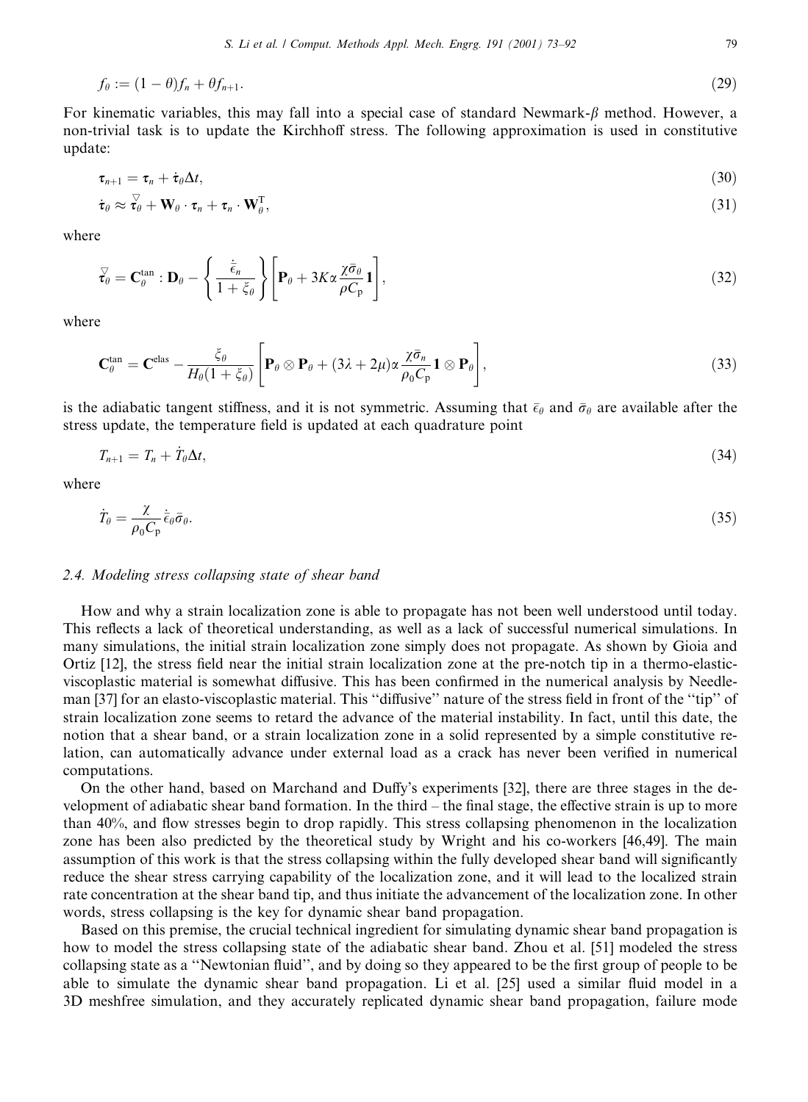$$
f_{\theta} := (1 - \theta)f_n + \theta f_{n+1}.\tag{29}
$$

For kinematic variables, this may fall into a special case of standard Newmark- $\beta$  method. However, a non-trivial task is to update the Kirchhoff stress. The following approximation is used in constitutive update:

$$
\tau_{n+1} = \tau_n + \dot{\tau}_\theta \Delta t, \tag{30}
$$

$$
\dot{\boldsymbol{\tau}}_{\theta} \approx \dot{\mathbf{r}}_{\theta} + \mathbf{W}_{\theta} \cdot \boldsymbol{\tau}_n + \boldsymbol{\tau}_n \cdot \mathbf{W}_{\theta}^{\mathrm{T}}, \tag{31}
$$

where

$$
\vec{\tau}_{\theta} = \mathbf{C}_{\theta}^{\tan} : \mathbf{D}_{\theta} - \left\{ \frac{\dot{\bar{\epsilon}}_n}{1 + \dot{\zeta}_{\theta}} \right\} \left[ \mathbf{P}_{\theta} + 3K\alpha \frac{\chi \bar{\sigma}_{\theta}}{\rho C_{\mathbf{p}}} \mathbf{1} \right],
$$
\n(32)

where

$$
\mathbf{C}_{\theta}^{\tan} = \mathbf{C}^{\text{elas}} - \frac{\xi_{\theta}}{H_{\theta}(1+\xi_{\theta})} \left[ \mathbf{P}_{\theta} \otimes \mathbf{P}_{\theta} + (3\lambda + 2\mu)\alpha \frac{\chi \bar{\sigma}_{n}}{\rho_{0} C_{p}} \mathbf{1} \otimes \mathbf{P}_{\theta} \right],
$$
\n(33)

is the adiabatic tangent stiffness, and it is not symmetric. Assuming that  $\bar{\epsilon}_{\theta}$  and  $\bar{\sigma}_{\theta}$  are available after the stress update, the temperature field is updated at each quadrature point

$$
T_{n+1} = T_n + T_\theta \Delta t,\tag{34}
$$

where

$$
\dot{T}_{\theta} = \frac{\chi}{\rho_0 C_p} \dot{\bar{\epsilon}}_{\theta} \bar{\sigma}_{\theta}.
$$
\n(35)

#### 2.4. Modeling stress collapsing state of shear band

How and why a strain localization zone is able to propagate has not been well understood until today. This reflects a lack of theoretical understanding, as well as a lack of successful numerical simulations. In many simulations, the initial strain localization zone simply does not propagate. As shown by Gioia and Ortiz [12], the stress field near the initial strain localization zone at the pre-notch tip in a thermo-elasticviscoplastic material is somewhat diffusive. This has been confirmed in the numerical analysis by Needleman [37] for an elasto-viscoplastic material. This "diffusive" nature of the stress field in front of the "tip" of strain localization zone seems to retard the advance of the material instability. In fact, until this date, the notion that a shear band, or a strain localization zone in a solid represented by a simple constitutive relation, can automatically advance under external load as a crack has never been verified in numerical computations.

On the other hand, based on Marchand and Duffy's experiments [32], there are three stages in the development of adiabatic shear band formation. In the third – the final stage, the effective strain is up to more than 40%, and flow stresses begin to drop rapidly. This stress collapsing phenomenon in the localization zone has been also predicted by the theoretical study by Wright and his co-workers [46,49]. The main assumption of this work is that the stress collapsing within the fully developed shear band will significantly reduce the shear stress carrying capability of the localization zone, and it will lead to the localized strain rate concentration at the shear band tip, and thus initiate the advancement of the localization zone. In other words, stress collapsing is the key for dynamic shear band propagation.

Based on this premise, the crucial technical ingredient for simulating dynamic shear band propagation is how to model the stress collapsing state of the adiabatic shear band. Zhou et al. [51] modeled the stress collapsing state as a "Newtonian fluid", and by doing so they appeared to be the first group of people to be able to simulate the dynamic shear band propagation. Li et al. [25] used a similar fluid model in a 3D meshfree simulation, and they accurately replicated dynamic shear band propagation, failure mode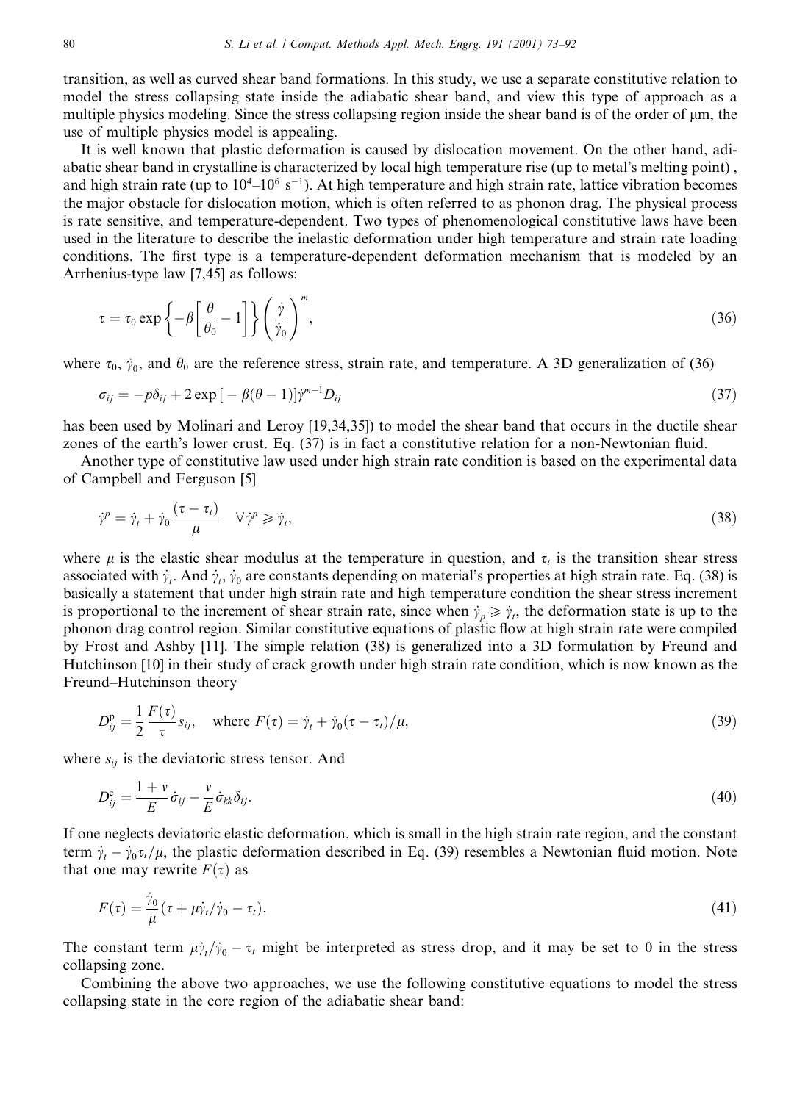transition, as well as curved shear band formations. In this study, we use a separate constitutive relation to model the stress collapsing state inside the adiabatic shear band, and view this type of approach as a multiple physics modeling. Since the stress collapsing region inside the shear band is of the order of  $\mu$ m, the use of multiple physics model is appealing.

It is well known that plastic deformation is caused by dislocation movement. On the other hand, adiabatic shear band in crystalline is characterized by local high temperature rise (up to metal's melting point), and high strain rate (up to  $10^{4}$ – $10^{6}$  s<sup>-1</sup>). At high temperature and high strain rate, lattice vibration becomes the major obstacle for dislocation motion, which is often referred to as phonon drag. The physical process is rate sensitive, and temperature-dependent. Two types of phenomenological constitutive laws have been used in the literature to describe the inelastic deformation under high temperature and strain rate loading conditions. The first type is a temperature-dependent deformation mechanism that is modeled by an Arrhenius-type law [7,45] as follows:

$$
\tau = \tau_0 \exp\left\{-\beta \left[\frac{\theta}{\theta_0} - 1\right]\right\} \left(\frac{\dot{\gamma}}{\dot{\gamma}_0}\right)^m,\tag{36}
$$

where  $\tau_0$ ,  $\dot{\gamma}_0$ , and  $\theta_0$  are the reference stress, strain rate, and temperature. A 3D generalization of (36)

$$
\sigma_{ij} = -p\delta_{ij} + 2\exp\left[-\beta(\theta - 1)\right]\dot{\gamma}^{m-1}D_{ij}
$$
\n(37)

has been used by Molinari and Leroy [19,34,35]) to model the shear band that occurs in the ductile shear zones of the earth's lower crust. Eq. (37) is in fact a constitutive relation for a non-Newtonian fluid.

Another type of constitutive law used under high strain rate condition is based on the experimental data of Campbell and Ferguson [5]

$$
\dot{\gamma}^p = \dot{\gamma}_t + \dot{\gamma}_0 \frac{(\tau - \tau_t)}{\mu} \quad \forall \dot{\gamma}^p \ge \dot{\gamma}_t,\tag{38}
$$

where  $\mu$  is the elastic shear modulus at the temperature in question, and  $\tau_t$  is the transition shear stress associated with  $\dot{\gamma}_t$ . And  $\dot{\gamma}_t$ ,  $\dot{\gamma}_0$  are constants depending on material's properties at high strain rate. Eq. (38) is basically a statement that under high strain rate and high temperature condition the shear stress increment is proportional to the increment of shear strain rate, since when  $\dot{\gamma}_p \ge \dot{\gamma}_t$ , the deformation state is up to the phonon drag control region. Similar constitutive equations of plastic flow at high strain rate were compiled by Frost and Ashby [11]. The simple relation (38) is generalized into a 3D formulation by Freund and Hutchinson [10] in their study of crack growth under high strain rate condition, which is now known as the Freund-Hutchinson theory

$$
D_{ij}^{\mathbf{p}} = \frac{1}{2} \frac{F(\tau)}{\tau} s_{ij}, \quad \text{where } F(\tau) = \dot{\gamma}_t + \dot{\gamma}_0 (\tau - \tau_t) / \mu,
$$
\n(39)

where  $s_{ij}$  is the deviatoric stress tensor. And

$$
D_{ij}^{\rm e} = \frac{1+v}{E} \dot{\sigma}_{ij} - \frac{v}{E} \dot{\sigma}_{kk} \delta_{ij}.
$$
\n(40)

If one neglects deviatoric elastic deformation, which is small in the high strain rate region, and the constant term  $\dot{\gamma}_i - \dot{\gamma}_0 \tau_i / \mu$ , the plastic deformation described in Eq. (39) resembles a Newtonian fluid motion. Note that one may rewrite  $F(\tau)$  as

$$
F(\tau) = \frac{\gamma_0}{\mu} (\tau + \mu \dot{\gamma}_t / \dot{\gamma}_0 - \tau_t). \tag{41}
$$

The constant term  $\mu \dot{\gamma}_t / \dot{\gamma}_0 - \tau_t$  might be interpreted as stress drop, and it may be set to 0 in the stress collapsing zone.

Combining the above two approaches, we use the following constitutive equations to model the stress collapsing state in the core region of the adiabatic shear band: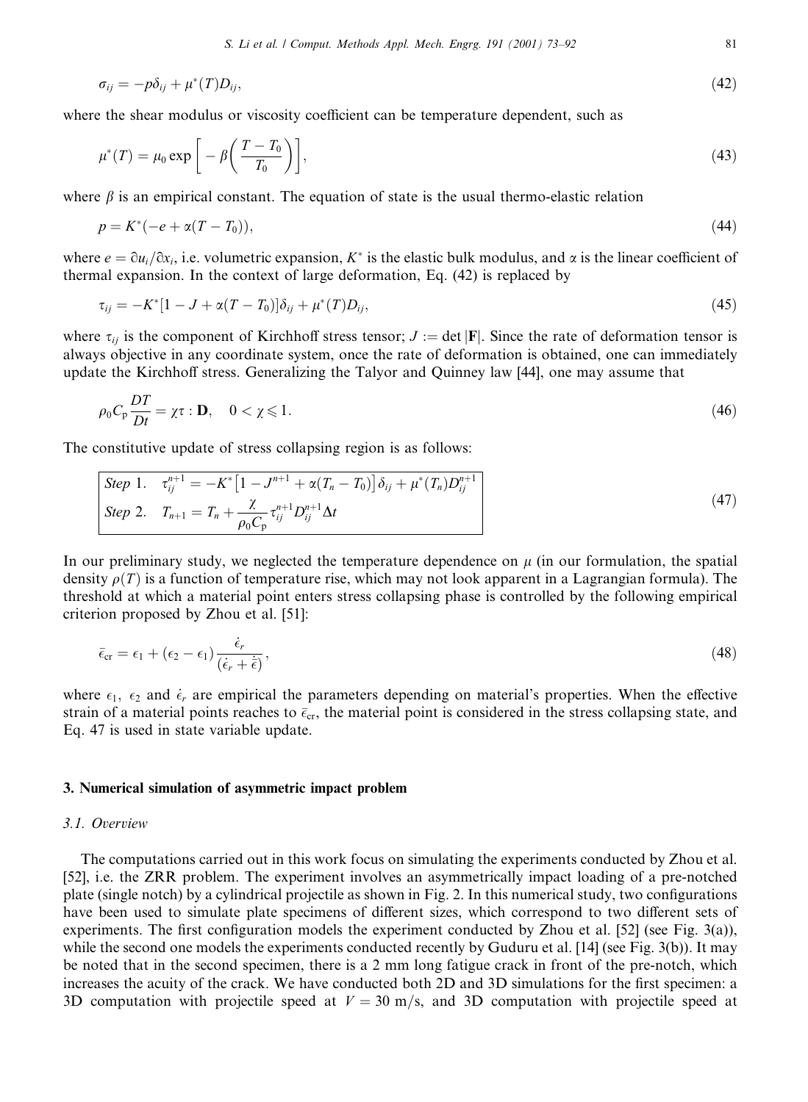$$
\sigma_{ij} = -p\delta_{ij} + \mu^*(T)D_{ij},\tag{42}
$$

where the shear modulus or viscosity coefficient can be temperature dependent, such as

$$
\mu^*(T) = \mu_0 \exp\left[-\beta \left(\frac{T - T_0}{T_0}\right)\right],\tag{43}
$$

where  $\beta$  is an empirical constant. The equation of state is the usual thermo-elastic relation

$$
p = K^*(-e + \alpha(T - T_0)),\tag{44}
$$

where  $e = \partial u_i / \partial x_i$ , i.e. volumetric expansion, K<sup>\*</sup> is the elastic bulk modulus, and  $\alpha$  is the linear coefficient of thermal expansion. In the context of large deformation, Eq. (42) is replaced by

$$
\tau_{ij} = -K^*[1 - J + \alpha(T - T_0)]\delta_{ij} + \mu^*(T)D_{ij},\tag{45}
$$

where  $\tau_{ij}$  is the component of Kirchhoff stress tensor;  $J := \det |\mathbf{F}|$ . Since the rate of deformation tensor is always objective in any coordinate system, once the rate of deformation is obtained, one can immediately update the Kirchhoff stress. Generalizing the Talyor and Quinney law [44], one may assume that

$$
\rho_0 C_p \frac{DT}{Dt} = \chi \tau : \mathbf{D}, \quad 0 < \chi \leqslant 1. \tag{46}
$$

The constitutive update of stress collapsing region is as follows:

Step 1. 
$$
\tau_{ij}^{n+1} = -K^* \left[ 1 - J^{n+1} + \alpha (T_n - T_0) \right] \delta_{ij} + \mu^* (T_n) D_{ij}^{n+1}
$$
  
Step 2. 
$$
T_{n+1} = T_n + \frac{\chi}{\rho_0 C_p} \tau_{ij}^{n+1} D_{ij}^{n+1} \Delta t
$$
 (47)

In our preliminary study, we neglected the temperature dependence on  $\mu$  (in our formulation, the spatial density  $\rho(T)$  is a function of temperature rise, which may not look apparent in a Lagrangian formula). The threshold at which a material point enters stress collapsing phase is controlled by the following empirical criterion proposed by Zhou et al. [51]:

$$
\bar{\epsilon}_{\rm cr} = \epsilon_1 + (\epsilon_2 - \epsilon_1) \frac{\bar{\epsilon}_r}{(\dot{\epsilon}_r + \bar{\epsilon})},\tag{48}
$$

where  $\epsilon_1$ ,  $\epsilon_2$  and  $\dot{\epsilon}_r$  are empirical the parameters depending on material's properties. When the effective strain of a material points reaches to  $\bar{\epsilon}_{cr}$ , the material point is considered in the stress collapsing state, and Eq. 47 is used in state variable update.

### 3. Numerical simulation of asymmetric impact problem

#### 3.1. Overview

The computations carried out in this work focus on simulating the experiments conducted by Zhou et al. [52], i.e. the ZRR problem. The experiment involves an asymmetrically impact loading of a pre-notched plate (single notch) by a cylindrical projectile as shown in Fig. 2. In this numerical study, two configurations have been used to simulate plate specimens of different sizes, which correspond to two different sets of experiments. The first configuration models the experiment conducted by Zhou et al. [52] (see Fig. 3(a)), while the second one models the experiments conducted recently by Guduru et al. [14] (see Fig. 3(b)). It may be noted that in the second specimen, there is a 2 mm long fatigue crack in front of the pre-notch, which increases the acuity of the crack. We have conducted both 2D and 3D simulations for the first specimen: a 3D computation with projectile speed at  $V = 30$  m/s, and 3D computation with projectile speed at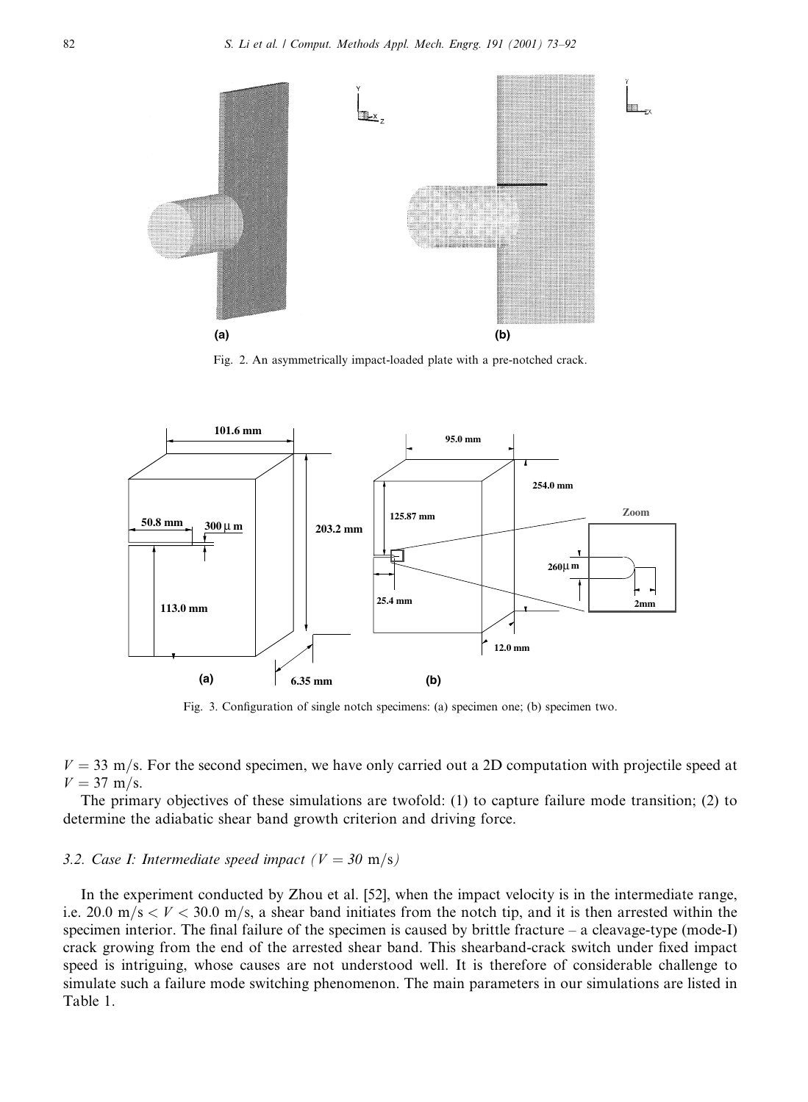

Fig. 2. An asymmetrically impact-loaded plate with a pre-notched crack.



Fig. 3. Configuration of single notch specimens: (a) specimen one; (b) specimen two.

 $V = 33$  m/s. For the second specimen, we have only carried out a 2D computation with projectile speed at  $V = 37 \text{ m/s}.$ 

The primary objectives of these simulations are twofold: (1) to capture failure mode transition; (2) to determine the adiabatic shear band growth criterion and driving force.

#### 3.2. Case I: Intermediate speed impact ( $V = 30$  m/s)

In the experiment conducted by Zhou et al. [52], when the impact velocity is in the intermediate range, i.e. 20.0 m/s  $\lt V \lt 30.0$  m/s, a shear band initiates from the notch tip, and it is then arrested within the specimen interior. The final failure of the specimen is caused by brittle fracture – a cleavage-type (mode-I) crack growing from the end of the arrested shear band. This shearband-crack switch under fixed impact speed is intriguing, whose causes are not understood well. It is therefore of considerable challenge to simulate such a failure mode switching phenomenon. The main parameters in our simulations are listed in Table 1.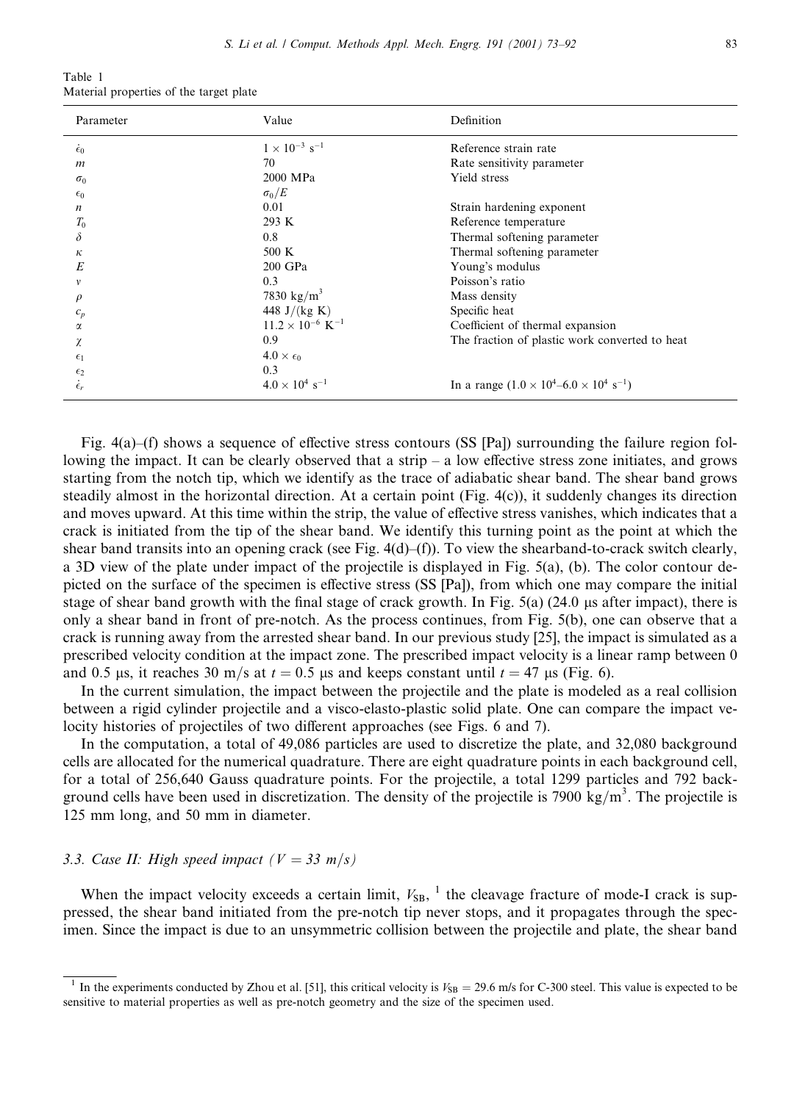| Table 1 |                                         |  |  |
|---------|-----------------------------------------|--|--|
|         | Material properties of the target plate |  |  |

| Parameter          | Value                                 | Definition                                                      |  |
|--------------------|---------------------------------------|-----------------------------------------------------------------|--|
| $\dot{\epsilon}_0$ | $1\times10^{-3}~\rm s^{-1}$           | Reference strain rate                                           |  |
| $\boldsymbol{m}$   | 70                                    | Rate sensitivity parameter                                      |  |
| $\sigma_0$         | 2000 MPa                              | Yield stress                                                    |  |
| $\epsilon_0$       | $\sigma_0/E$                          |                                                                 |  |
| n                  | 0.01                                  | Strain hardening exponent                                       |  |
| $T_0$              | 293 K                                 | Reference temperature                                           |  |
| δ                  | 0.8                                   | Thermal softening parameter                                     |  |
| к                  | $500 \text{ K}$                       | Thermal softening parameter                                     |  |
| E                  | 200 GPa                               | Young's modulus                                                 |  |
| $\mathcal V$       | 0.3                                   | Poisson's ratio                                                 |  |
| $\rho$             | 7830 kg/m <sup>3</sup>                | Mass density                                                    |  |
| $c_p$              | 448 J/(kg K)                          | Specific heat                                                   |  |
| α                  | $11.2 \times 10^{-6}$ K <sup>-1</sup> | Coefficient of thermal expansion                                |  |
| χ                  | 0.9                                   | The fraction of plastic work converted to heat                  |  |
| $\epsilon_1$       | $4.0 \times \epsilon_0$               |                                                                 |  |
| $\epsilon_2$       | 0.3                                   |                                                                 |  |
| $\epsilon_r$       | $4.0 \times 10^4$ s <sup>-1</sup>     | In a range $(1.0 \times 10^4 - 6.0 \times 10^4 \text{ s}^{-1})$ |  |

Fig. 4(a)–(f) shows a sequence of effective stress contours (SS [Pal) surrounding the failure region following the impact. It can be clearly observed that a strip  $-$  a low effective stress zone initiates, and grows starting from the notch tip, which we identify as the trace of adiabatic shear band. The shear band grows steadily almost in the horizontal direction. At a certain point (Fig. 4(c)), it suddenly changes its direction and moves upward. At this time within the strip, the value of effective stress vanishes, which indicates that a crack is initiated from the tip of the shear band. We identify this turning point as the point at which the shear band transits into an opening crack (see Fig.  $4(d)$ –(f)). To view the shearband-to-crack switch clearly, a 3D view of the plate under impact of the projectile is displayed in Fig. 5(a), (b). The color contour depicted on the surface of the specimen is effective stress (SS [Pa]), from which one may compare the initial stage of shear band growth with the final stage of crack growth. In Fig.  $5(a)$  (24.0  $\mu$ s after impact), there is only a shear band in front of pre-notch. As the process continues, from Fig. 5(b), one can observe that a crack is running away from the arrested shear band. In our previous study [25], the impact is simulated as a prescribed velocity condition at the impact zone. The prescribed impact velocity is a linear ramp between 0 and 0.5 µs, it reaches 30 m/s at  $t = 0.5$  µs and keeps constant until  $t = 47$  µs (Fig. 6).

In the current simulation, the impact between the projectile and the plate is modeled as a real collision between a rigid cylinder projectile and a visco-elasto-plastic solid plate. One can compare the impact velocity histories of projectiles of two different approaches (see Figs. 6 and 7).

In the computation, a total of 49,086 particles are used to discretize the plate, and 32,080 background cells are allocated for the numerical quadrature. There are eight quadrature points in each background cell, for a total of 256,640 Gauss quadrature points. For the projectile, a total 1299 particles and 792 background cells have been used in discretization. The density of the projectile is 7900 kg/m<sup>3</sup>. The projectile is 125 mm long, and 50 mm in diameter.

#### 3.3. Case II: High speed impact ( $V = 33$  m/s)

When the impact velocity exceeds a certain limit,  $V_{SB}$ , <sup>1</sup> the cleavage fracture of mode-I crack is suppressed, the shear band initiated from the pre-notch tip never stops, and it propagates through the specimen. Since the impact is due to an unsymmetric collision between the projectile and plate, the shear band

<sup>&</sup>lt;sup>1</sup> In the experiments conducted by Zhou et al. [51], this critical velocity is  $V_{SB} = 29.6$  m/s for C-300 steel. This value is expected to be sensitive to material properties as well as pre-notch geometry and the size of the specimen used.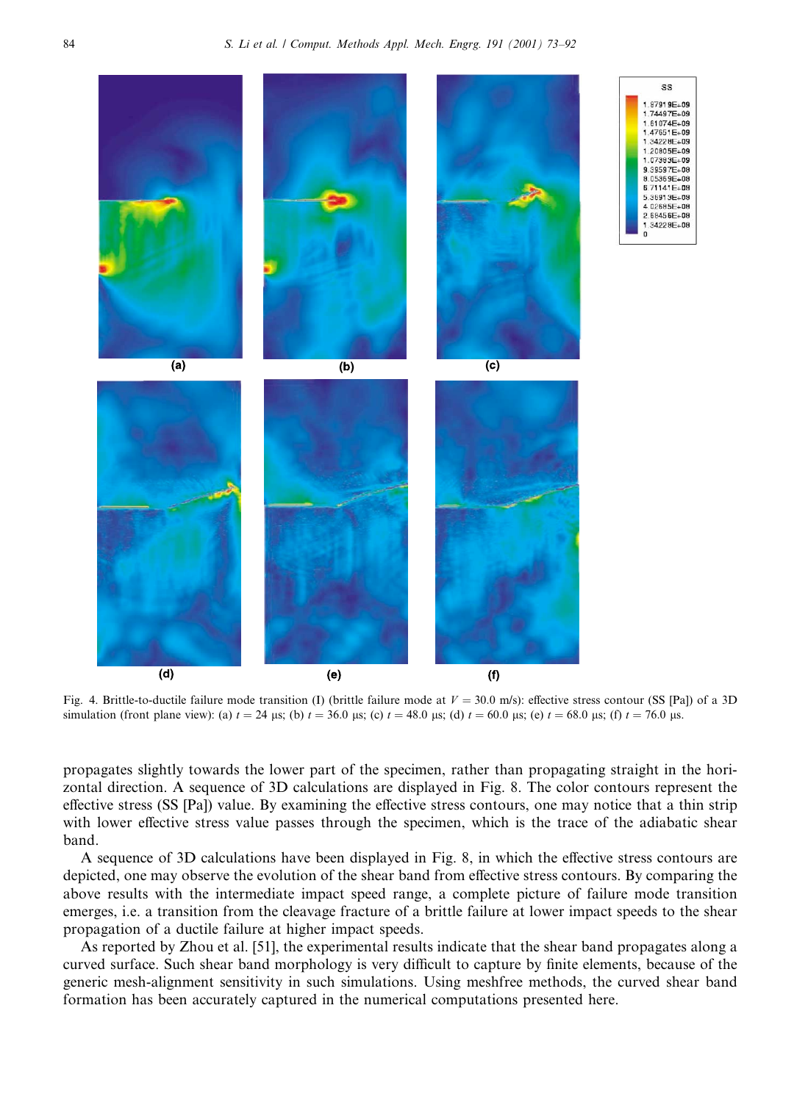

Fig. 4. Brittle-to-ductile failure mode transition (I) (brittle failure mode at  $V = 30.0$  m/s): effective stress contour (SS [Pa]) of a 3D simulation (front plane view): (a)  $t = 24$  µs; (b)  $t = 36.0$  µs; (c)  $t = 48.0$  µs; (d)  $t = 60.0$  µs; (e)  $t = 68.0$  µs; (f)  $t = 76.0$  µs.

propagates slightly towards the lower part of the specimen, rather than propagating straight in the horizontal direction. A sequence of 3D calculations are displayed in Fig. 8. The color contours represent the effective stress (SS [Pa]) value. By examining the effective stress contours, one may notice that a thin strip with lower effective stress value passes through the specimen, which is the trace of the adiabatic shear band.

A sequence of 3D calculations have been displayed in Fig. 8, in which the effective stress contours are depicted, one may observe the evolution of the shear band from effective stress contours. By comparing the above results with the intermediate impact speed range, a complete picture of failure mode transition emerges, i.e. a transition from the cleavage fracture of a brittle failure at lower impact speeds to the shear propagation of a ductile failure at higher impact speeds.

As reported by Zhou et al. [51], the experimental results indicate that the shear band propagates along a curved surface. Such shear band morphology is very difficult to capture by finite elements, because of the generic mesh-alignment sensitivity in such simulations. Using meshfree methods, the curved shear band formation has been accurately captured in the numerical computations presented here.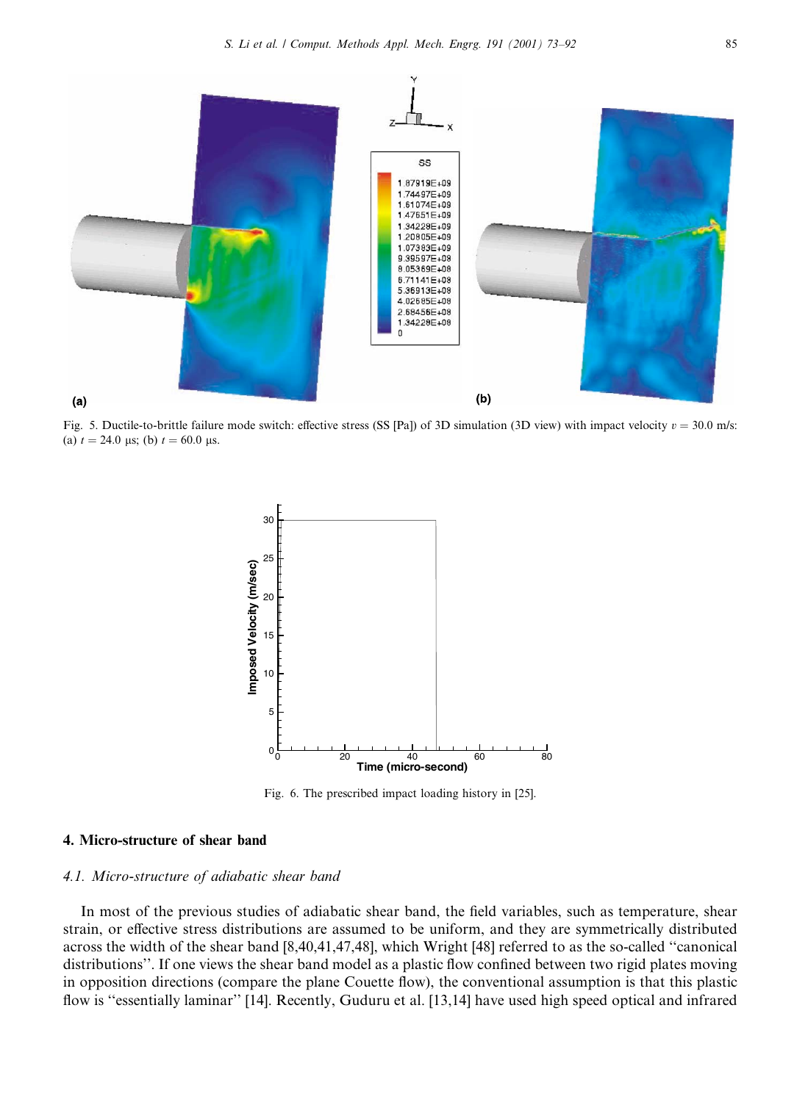

Fig. 5. Ductile-to-brittle failure mode switch: effective stress (SS [Pa]) of 3D simulation (3D view) with impact velocity  $v = 30.0$  m/s: (a)  $t = 24.0 \text{ }\mu\text{s}$ ; (b)  $t = 60.0 \text{ }\mu\text{s}$ .



Fig. 6. The prescribed impact loading history in [25].

#### 4. Micro-structure of shear band

#### 4.1. Micro-structure of adiabatic shear band

In most of the previous studies of adiabatic shear band, the field variables, such as temperature, shear strain, or effective stress distributions are assumed to be uniform, and they are symmetrically distributed across the width of the shear band [8,40,41,47,48], which Wright [48] referred to as the so-called "canonical distributions". If one views the shear band model as a plastic flow confined between two rigid plates moving in opposition directions (compare the plane Couette flow), the conventional assumption is that this plastic flow is "essentially laminar" [14]. Recently, Guduru et al. [13,14] have used high speed optical and infrared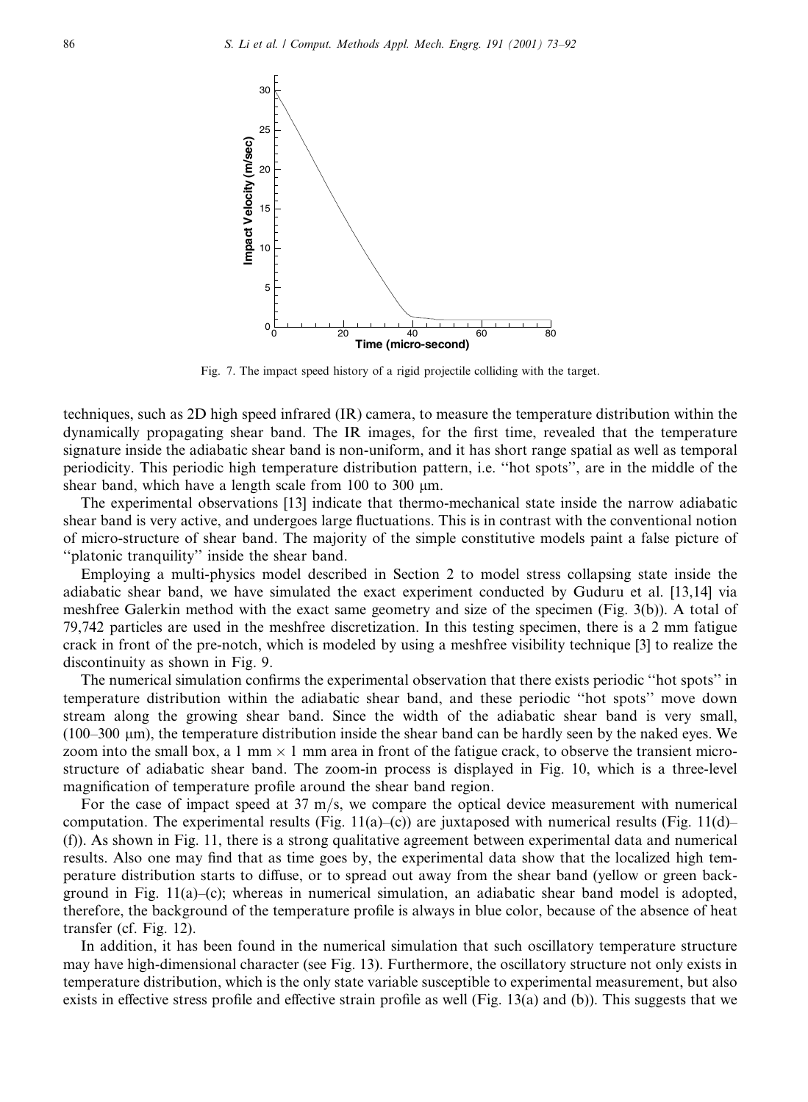

Fig. 7. The impact speed history of a rigid projectile colliding with the target.

techniques, such as 2D high speed infrared (IR) camera, to measure the temperature distribution within the dynamically propagating shear band. The IR images, for the first time, revealed that the temperature signature inside the adiabatic shear band is non-uniform, and it has short range spatial as well as temporal periodicity. This periodic high temperature distribution pattern, *i.e.* "hot spots", are in the middle of the shear band, which have a length scale from  $100$  to  $300 \mu m$ .

The experimental observations [13] indicate that thermo-mechanical state inside the narrow adiabatic shear band is very active, and undergoes large fluctuations. This is in contrast with the conventional notion of micro-structure of shear band. The majority of the simple constitutive models paint a false picture of "platonic tranquility" inside the shear band.

Employing a multi-physics model described in Section 2 to model stress collapsing state inside the adiabatic shear band, we have simulated the exact experiment conducted by Guduru et al. [13,14] via meshfree Galerkin method with the exact same geometry and size of the specimen (Fig. 3(b)). A total of 79,742 particles are used in the meshfree discretization. In this testing specimen, there is a 2 mm fatigue crack in front of the pre-notch, which is modeled by using a meshfree visibility technique [3] to realize the discontinuity as shown in Fig. 9.

The numerical simulation confirms the experimental observation that there exists periodic "hot spots" in temperature distribution within the adiabatic shear band, and these periodic "hot spots" move down stream along the growing shear band. Since the width of the adiabatic shear band is very small,  $(100-300 \mu m)$ , the temperature distribution inside the shear band can be hardly seen by the naked eyes. We zoom into the small box, a 1 mm  $\times$  1 mm area in front of the fatigue crack, to observe the transient microstructure of adiabatic shear band. The zoom-in process is displayed in Fig. 10, which is a three-level magnification of temperature profile around the shear band region.

For the case of impact speed at  $37 \text{ m/s}$ , we compare the optical device measurement with numerical computation. The experimental results (Fig. 11(a)–(c)) are juxtaposed with numerical results (Fig. 11(d)– (f)). As shown in Fig. 11, there is a strong qualitative agreement between experimental data and numerical results. Also one may find that as time goes by, the experimental data show that the localized high temperature distribution starts to diffuse, or to spread out away from the shear band (yellow or green background in Fig. 11(a)-(c); whereas in numerical simulation, an adiabatic shear band model is adopted, therefore, the background of the temperature profile is always in blue color, because of the absence of heat transfer (cf. Fig.  $12$ ).

In addition, it has been found in the numerical simulation that such oscillatory temperature structure may have high-dimensional character (see Fig. 13). Furthermore, the oscillatory structure not only exists in temperature distribution, which is the only state variable susceptible to experimental measurement, but also exists in effective stress profile and effective strain profile as well (Fig. 13(a) and (b)). This suggests that we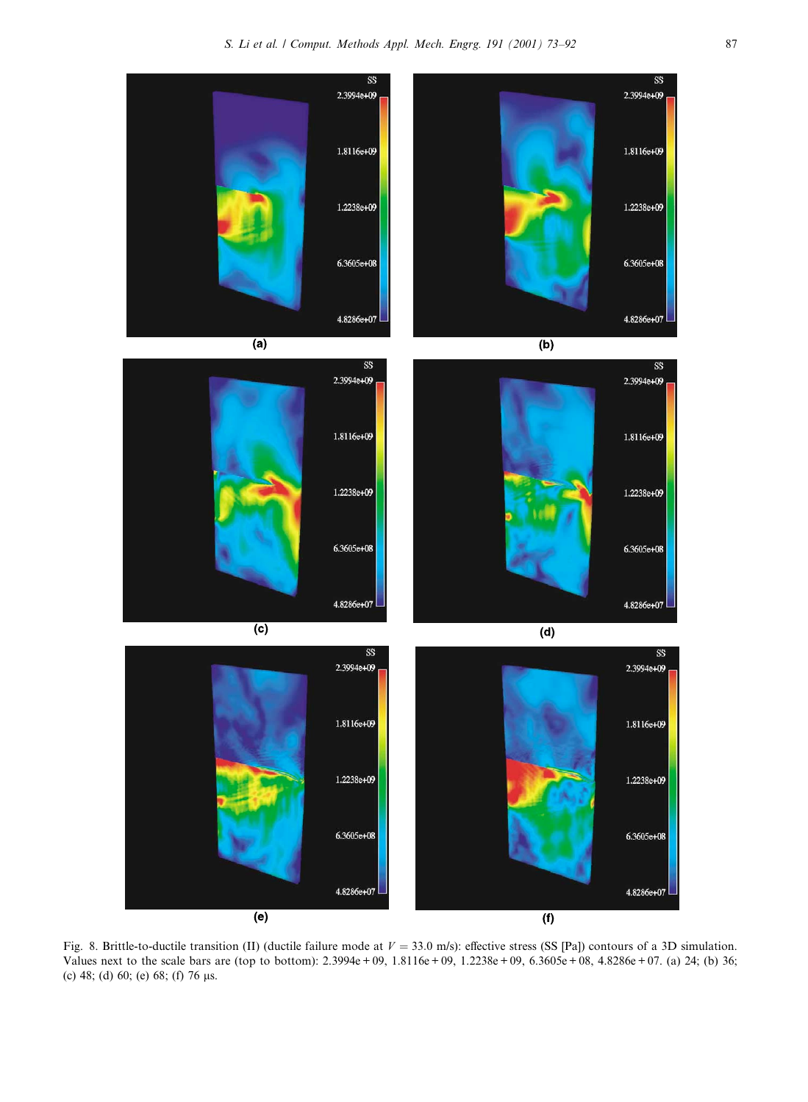

Fig. 8. Brittle-to-ductile transition (II) (ductile failure mode at  $V = 33.0$  m/s): effective stress (SS [Pa]) contours of a 3D simulation. Values next to the scale bars are (top to bottom): 2.3994e + 09, 1.8116e + 09, 1.2238e + 09, 6.3605e + 08, 4.8286e + 07. (a) 24; (b) 36; (c) 48; (d) 60; (e) 68; (f) 76  $\mu$ s.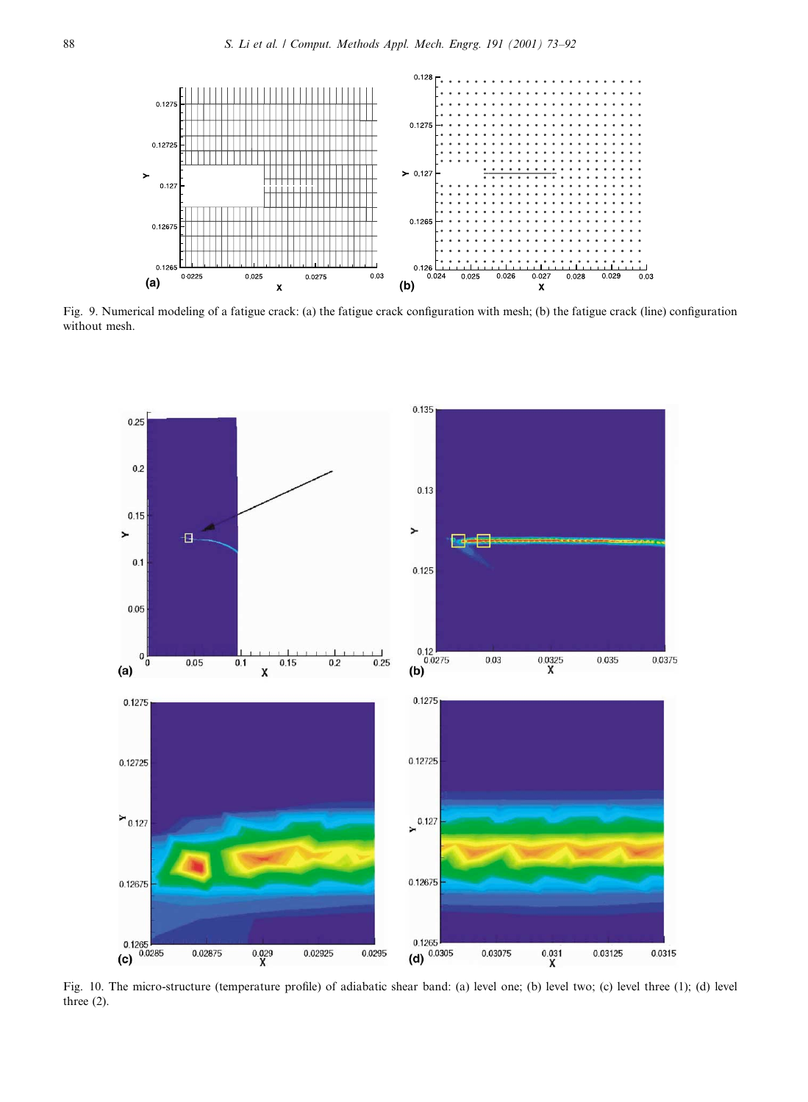

Fig. 9. Numerical modeling of a fatigue crack: (a) the fatigue crack configuration with mesh; (b) the fatigue crack (line) configuration without mesh.



Fig. 10. The micro-structure (temperature profile) of adiabatic shear band: (a) level one; (b) level two; (c) level three (1); (d) level three  $(2)$ .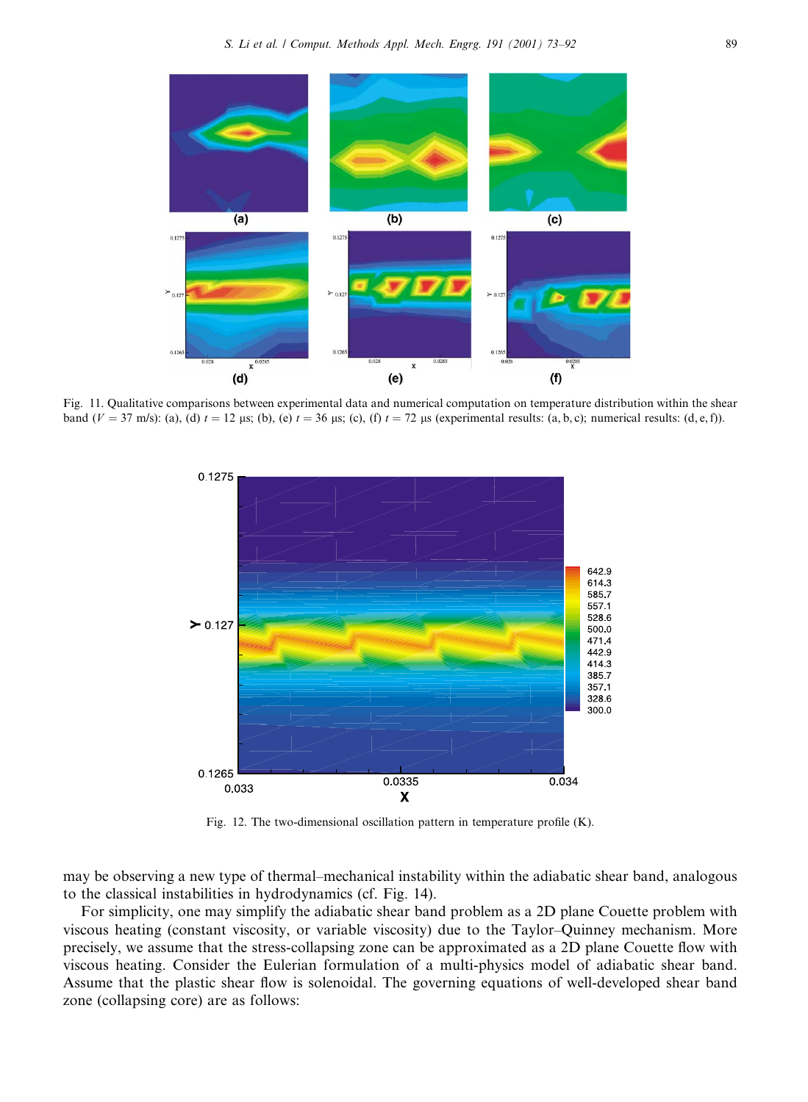

Fig. 11. Qualitative comparisons between experimental data and numerical computation on temperature distribution within the shear band ( $V = 37$  m/s): (a), (d)  $t = 12$  µs; (b), (e)  $t = 36$  µs; (c), (f)  $t = 72$  µs (experimental results: (a, b, c); numerical results: (d, e, f)).



Fig. 12. The two-dimensional oscillation pattern in temperature profile  $(K)$ .

may be observing a new type of thermal-mechanical instability within the adiabatic shear band, analogous to the classical instabilities in hydrodynamics (cf. Fig. 14).

For simplicity, one may simplify the adiabatic shear band problem as a 2D plane Couette problem with viscous heating (constant viscosity, or variable viscosity) due to the Taylor-Quinney mechanism. More precisely, we assume that the stress-collapsing zone can be approximated as a 2D plane Couette flow with viscous heating. Consider the Eulerian formulation of a multi-physics model of adiabatic shear band. Assume that the plastic shear flow is solenoidal. The governing equations of well-developed shear band zone (collapsing core) are as follows: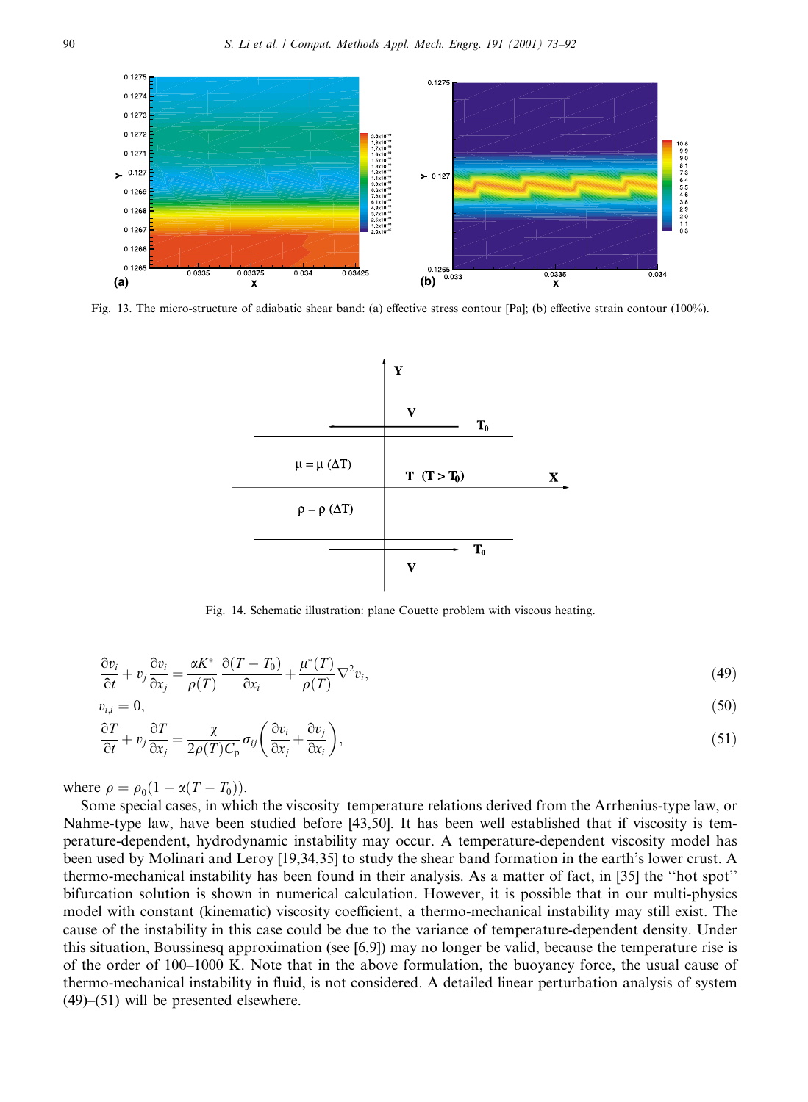

Fig. 13. The micro-structure of adiabatic shear band: (a) effective stress contour [Pa]; (b) effective strain contour (100%).



Fig. 14. Schematic illustration: plane Couette problem with viscous heating.

$$
\frac{\partial v_i}{\partial t} + v_j \frac{\partial v_i}{\partial x_i} = \frac{\alpha K^*}{\rho(T)} \frac{\partial (T - T_0)}{\partial x_i} + \frac{\mu^*(T)}{\rho(T)} \nabla^2 v_i,
$$
\n(49)

$$
v_{i,i}=0,
$$

$$
\frac{\partial T}{\partial t} + v_j \frac{\partial T}{\partial x_j} = \frac{\chi}{2\rho(T)C_p} \sigma_{ij} \left( \frac{\partial v_i}{\partial x_j} + \frac{\partial v_j}{\partial x_i} \right),\tag{51}
$$

 $(50)$ 

where  $\rho = \rho_0 (1 - \alpha (T - T_0)).$ 

Some special cases, in which the viscosity–temperature relations derived from the Arrhenius-type law, or Nahme-type law, have been studied before [43,50]. It has been well established that if viscosity is temperature-dependent, hydrodynamic instability may occur. A temperature-dependent viscosity model has been used by Molinari and Leroy [19,34,35] to study the shear band formation in the earth's lower crust. A thermo-mechanical instability has been found in their analysis. As a matter of fact, in [35] the "hot spot" bifurcation solution is shown in numerical calculation. However, it is possible that in our multi-physics model with constant (kinematic) viscosity coefficient, a thermo-mechanical instability may still exist. The cause of the instability in this case could be due to the variance of temperature-dependent density. Under this situation, Boussinesq approximation (see [6,9]) may no longer be valid, because the temperature rise is of the order of 100–1000 K. Note that in the above formulation, the buoyancy force, the usual cause of thermo-mechanical instability in fluid, is not considered. A detailed linear perturbation analysis of system  $(49)$ – $(51)$  will be presented elsewhere.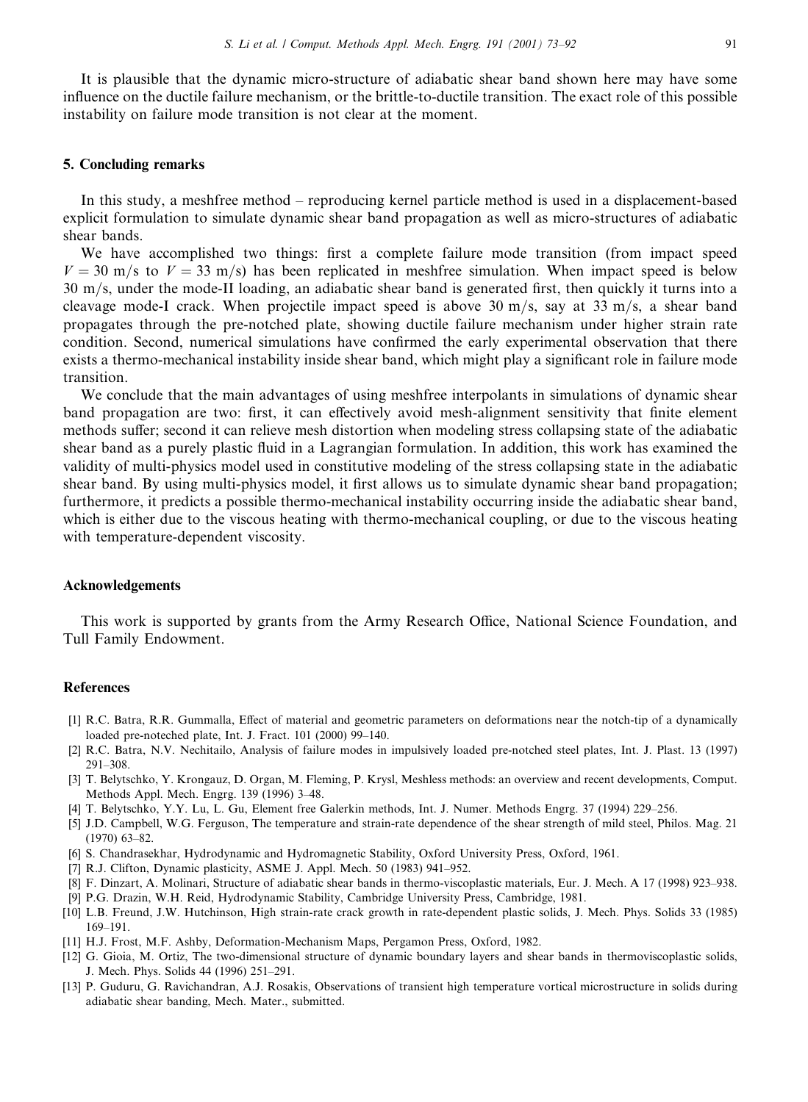It is plausible that the dynamic micro-structure of adiabatic shear band shown here may have some influence on the ductile failure mechanism, or the brittle-to-ductile transition. The exact role of this possible instability on failure mode transition is not clear at the moment.

### 5. Concluding remarks

In this study, a meshfree method – reproducing kernel particle method is used in a displacement-based explicit formulation to simulate dynamic shear band propagation as well as micro-structures of adiabatic shear bands.

We have accomplished two things: first a complete failure mode transition (from impact speed  $V = 30$  m/s to  $V = 33$  m/s) has been replicated in meshfree simulation. When impact speed is below 30 m/s, under the mode-II loading, an adiabatic shear band is generated first, then quickly it turns into a cleavage mode-I crack. When projectile impact speed is above 30 m/s, say at 33 m/s, a shear band propagates through the pre-notched plate, showing ductile failure mechanism under higher strain rate condition. Second, numerical simulations have confirmed the early experimental observation that there exists a thermo-mechanical instability inside shear band, which might play a significant role in failure mode transition.

We conclude that the main advantages of using meshfree interpolants in simulations of dynamic shear band propagation are two: first, it can effectively avoid mesh-alignment sensitivity that finite element methods suffer; second it can relieve mesh distortion when modeling stress collapsing state of the adiabatic shear band as a purely plastic fluid in a Lagrangian formulation. In addition, this work has examined the validity of multi-physics model used in constitutive modeling of the stress collapsing state in the adiabatic shear band. By using multi-physics model, it first allows us to simulate dynamic shear band propagation; furthermore, it predicts a possible thermo-mechanical instability occurring inside the adiabatic shear band, which is either due to the viscous heating with thermo-mechanical coupling, or due to the viscous heating with temperature-dependent viscosity.

## **Acknowledgements**

This work is supported by grants from the Army Research Office, National Science Foundation, and Tull Family Endowment.

### **References**

- [1] R.C. Batra, R.R. Gummalla, Effect of material and geometric parameters on deformations near the notch-tip of a dynamically loaded pre-noteched plate, Int. J. Fract. 101 (2000) 99-140.
- [2] R.C. Batra, N.V. Nechitailo, Analysis of failure modes in impulsively loaded pre-notched steel plates, Int. J. Plast. 13 (1997)  $291 - 308.$
- [3] T. Belytschko, Y. Krongauz, D. Organ, M. Fleming, P. Krysl, Meshless methods: an overview and recent developments, Comput. Methods Appl. Mech. Engrg. 139 (1996) 3-48.
- [4] T. Belytschko, Y.Y. Lu, L. Gu, Element free Galerkin methods, Int. J. Numer. Methods Engrg. 37 (1994) 229–256.
- [5] J.D. Campbell, W.G. Ferguson, The temperature and strain-rate dependence of the shear strength of mild steel, Philos. Mag. 21  $(1970)$  63-82.
- [6] S. Chandrasekhar, Hydrodynamic and Hydromagnetic Stability, Oxford University Press, Oxford, 1961.
- [7] R.J. Clifton, Dynamic plasticity, ASME J. Appl. Mech. 50 (1983) 941-952.
- [8] F. Dinzart, A. Molinari, Structure of adiabatic shear bands in thermo-viscoplastic materials, Eur. J. Mech. A 17 (1998) 923-938.
- [9] P.G. Drazin, W.H. Reid, Hydrodynamic Stability, Cambridge University Press, Cambridge, 1981.
- [10] L.B. Freund, J.W. Hutchinson, High strain-rate crack growth in rate-dependent plastic solids, J. Mech. Phys. Solids 33 (1985)  $169 - 191.$
- [11] H.J. Frost, M.F. Ashby, Deformation-Mechanism Maps, Pergamon Press, Oxford, 1982.
- [12] G. Gioia, M. Ortiz, The two-dimensional structure of dynamic boundary layers and shear bands in thermoviscoplastic solids, J. Mech. Phys. Solids 44 (1996) 251-291.
- [13] P. Guduru, G. Ravichandran, A.J. Rosakis, Observations of transient high temperature vortical microstructure in solids during adiabatic shear banding, Mech. Mater., submitted.